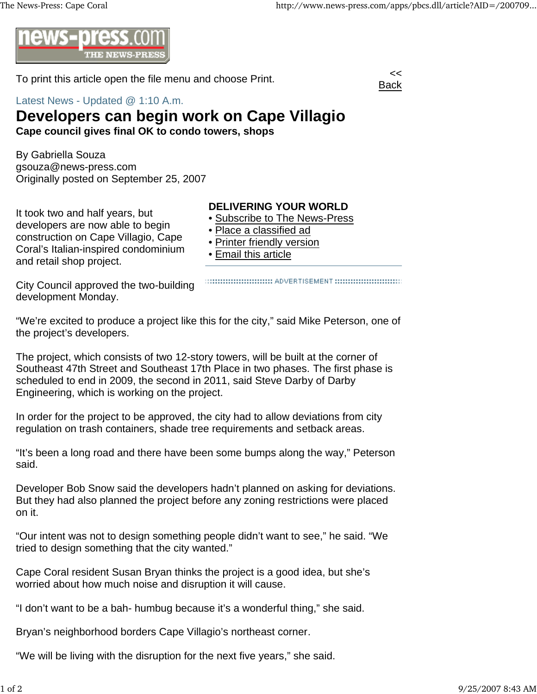

To print this article open the file menu and choose Print.



Latest News - Updated @ 1:10 A.m.

## **Developers can begin work on Cape Villagio**

**Cape council gives final OK to condo towers, shops**

By Gabriella Souza gsouza@news-press.com Originally posted on September 25, 2007

It took two and half years, but developers are now able to begin construction on Cape Villagio, Cape Coral's Italian-inspired condominium and retail shop project.

## **DELIVERING YOUR WORLD**

- Subscribe to The News-Press
- Place a classified ad
- Printer friendly version
- Email this article

City Council approved the two-building development Monday.

:::::::::::::::::::::::::::::::::: ADVERTISEMENT :::::::::::::::::::::::::::::::

"We're excited to produce a project like this for the city," said Mike Peterson, one of the project's developers.

The project, which consists of two 12-story towers, will be built at the corner of Southeast 47th Street and Southeast 17th Place in two phases. The first phase is scheduled to end in 2009, the second in 2011, said Steve Darby of Darby Engineering, which is working on the project.

In order for the project to be approved, the city had to allow deviations from city regulation on trash containers, shade tree requirements and setback areas.

"It's been a long road and there have been some bumps along the way," Peterson said.

Developer Bob Snow said the developers hadn't planned on asking for deviations. But they had also planned the project before any zoning restrictions were placed on it.

"Our intent was not to design something people didn't want to see," he said. "We tried to design something that the city wanted."

Cape Coral resident Susan Bryan thinks the project is a good idea, but she's worried about how much noise and disruption it will cause.

"I don't want to be a bah- humbug because it's a wonderful thing," she said.

Bryan's neighborhood borders Cape Villagio's northeast corner.

"We will be living with the disruption for the next five years," she said.